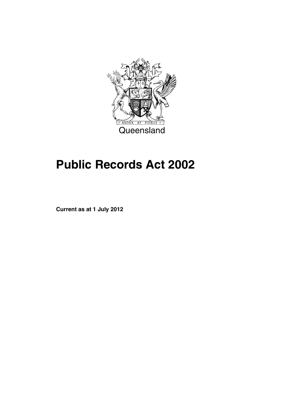

# **Public Records Act 2002**

**Current as at 1 July 2012**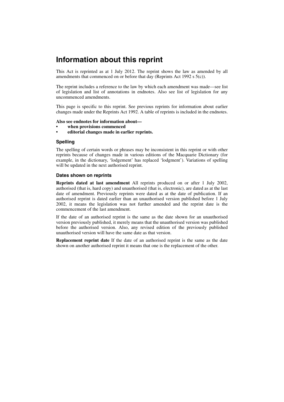# **Information about this reprint**

This Act is reprinted as at 1 July 2012. The reprint shows the law as amended by all amendments that commenced on or before that day (Reprints Act 1992 s 5(c)).

The reprint includes a reference to the law by which each amendment was made—see list of legislation and list of annotations in endnotes. Also see list of legislation for any uncommenced amendments.

This page is specific to this reprint. See previous reprints for information about earlier changes made under the Reprints Act 1992. A table of reprints is included in the endnotes.

#### **Also see endnotes for information about—**

- **when provisions commenced**
- **editorial changes made in earlier reprints.**

#### **Spelling**

The spelling of certain words or phrases may be inconsistent in this reprint or with other reprints because of changes made in various editions of the Macquarie Dictionary (for example, in the dictionary, 'lodgement' has replaced 'lodgment'). Variations of spelling will be updated in the next authorised reprint.

#### **Dates shown on reprints**

**Reprints dated at last amendment** All reprints produced on or after 1 July 2002, authorised (that is, hard copy) and unauthorised (that is, electronic), are dated as at the last date of amendment. Previously reprints were dated as at the date of publication. If an authorised reprint is dated earlier than an unauthorised version published before 1 July 2002, it means the legislation was not further amended and the reprint date is the commencement of the last amendment.

If the date of an authorised reprint is the same as the date shown for an unauthorised version previously published, it merely means that the unauthorised version was published before the authorised version. Also, any revised edition of the previously published unauthorised version will have the same date as that version.

**Replacement reprint date** If the date of an authorised reprint is the same as the date shown on another authorised reprint it means that one is the replacement of the other.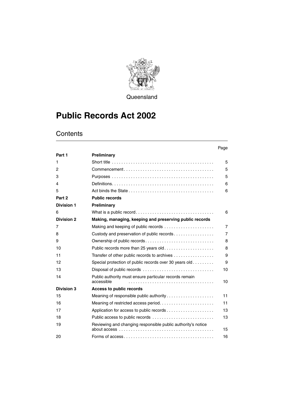

**Queensland** 

# **Public Records Act 2002**

|                   |                                                                      | Page           |
|-------------------|----------------------------------------------------------------------|----------------|
| Part 1            | Preliminary                                                          |                |
| 1                 |                                                                      | 5              |
| 2                 |                                                                      | 5              |
| 3                 |                                                                      | 5              |
| 4                 |                                                                      | 6              |
| 5                 |                                                                      | 6              |
| Part 2            | <b>Public records</b>                                                |                |
| <b>Division 1</b> | Preliminary                                                          |                |
| 6                 |                                                                      | 6              |
| <b>Division 2</b> | Making, managing, keeping and preserving public records              |                |
| 7                 | Making and keeping of public records                                 | $\overline{7}$ |
| 8                 | Custody and preservation of public records                           | 7              |
| 9                 | Ownership of public records                                          | 8              |
| 10                | Public records more than 25 years old                                | 8              |
| 11                | Transfer of other public records to archives                         | 9              |
| 12                | Special protection of public records over 30 years old               | 9              |
| 13                |                                                                      | 10             |
| 14                | Public authority must ensure particular records remain<br>accessible | 10             |
| <b>Division 3</b> | Access to public records                                             |                |
| 15                | Meaning of responsible public authority                              | 11             |
| 16                | Meaning of restricted access period                                  | 11             |
| 17                | Application for access to public records                             | 13             |
| 18                | Public access to public records                                      |                |
| 19                | Reviewing and changing responsible public authority's notice         | 15             |
| 20                |                                                                      | 16             |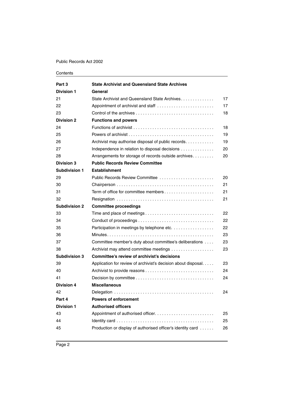| Part 3               | <b>State Archivist and Queensland State Archives</b>                                                 |    |
|----------------------|------------------------------------------------------------------------------------------------------|----|
| <b>Division 1</b>    | General                                                                                              |    |
| 21                   | State Archivist and Queensland State Archives                                                        | 17 |
| 22                   | Appointment of archivist and staff                                                                   | 17 |
| 23                   |                                                                                                      | 18 |
| <b>Division 2</b>    | <b>Functions and powers</b>                                                                          |    |
| 24                   |                                                                                                      | 18 |
| 25                   | Powers of archivist $\ldots$ $\ldots$ $\ldots$ $\ldots$ $\ldots$ $\ldots$ $\ldots$ $\ldots$ $\ldots$ | 19 |
| 26                   | Archivist may authorise disposal of public records                                                   | 19 |
| 27                   | Independence in relation to disposal decisions                                                       | 20 |
| 28                   | Arrangements for storage of records outside archives                                                 | 20 |
| <b>Division 3</b>    | <b>Public Records Review Committee</b>                                                               |    |
| Subdivision 1        | <b>Establishment</b>                                                                                 |    |
| 29                   | Public Records Review Committee                                                                      | 20 |
| 30                   |                                                                                                      | 21 |
| 31                   |                                                                                                      | 21 |
| 32                   |                                                                                                      | 21 |
| <b>Subdivision 2</b> | <b>Committee proceedings</b>                                                                         |    |
| 33                   | Time and place of meetings                                                                           | 22 |
| 34                   |                                                                                                      | 22 |
| 35                   | Participation in meetings by telephone etc.                                                          | 22 |
| 36                   |                                                                                                      | 23 |
| 37                   | Committee member's duty about committee's deliberations                                              | 23 |
| 38                   | Archivist may attend committee meetings                                                              | 23 |
| <b>Subdivision 3</b> | Committee's review of archivist's decisions                                                          |    |
| 39                   | Application for review of archivist's decision about disposal.                                       | 23 |
| 40                   |                                                                                                      | 24 |
| 41                   |                                                                                                      | 24 |
| <b>Division 4</b>    | <b>Miscellaneous</b>                                                                                 |    |
| 42                   |                                                                                                      | 24 |
| Part 4               | <b>Powers of enforcement</b>                                                                         |    |
| <b>Division 1</b>    | <b>Authorised officers</b>                                                                           |    |
| 43                   |                                                                                                      | 25 |
| 44                   |                                                                                                      | 25 |
| 45                   | Production or display of authorised officer's identity card                                          | 26 |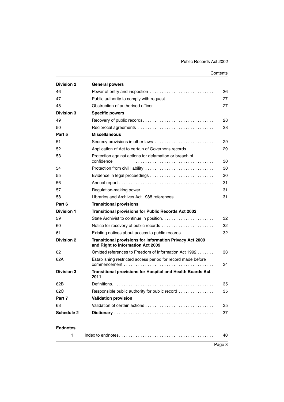| <b>Division 2</b>                                     | <b>General powers</b>                                                                         |    |  |  |
|-------------------------------------------------------|-----------------------------------------------------------------------------------------------|----|--|--|
| 46                                                    | Power of entry and inspection<br>26                                                           |    |  |  |
| 47                                                    | 27                                                                                            |    |  |  |
| 48                                                    | Obstruction of authorised officer                                                             |    |  |  |
| <b>Division 3</b>                                     | <b>Specific powers</b>                                                                        |    |  |  |
| 49                                                    | Recovery of public records                                                                    |    |  |  |
| 50                                                    |                                                                                               | 28 |  |  |
| Part 5                                                | <b>Miscellaneous</b>                                                                          |    |  |  |
| 51                                                    | Secrecy provisions in other laws                                                              | 29 |  |  |
| 52                                                    | Application of Act to certain of Governor's records                                           | 29 |  |  |
| 53                                                    | Protection against actions for defamation or breach of<br>confidence                          | 30 |  |  |
| 54                                                    |                                                                                               | 30 |  |  |
| 55                                                    |                                                                                               | 30 |  |  |
| 56                                                    |                                                                                               | 31 |  |  |
| 57                                                    | Regulation-making power                                                                       | 31 |  |  |
| Libraries and Archives Act 1988 references<br>58      |                                                                                               | 31 |  |  |
| Part 6                                                | <b>Transitional provisions</b>                                                                |    |  |  |
| Division 1                                            | <b>Transitional provisions for Public Records Act 2002</b>                                    |    |  |  |
| 59                                                    | State Archivist to continue in position                                                       | 32 |  |  |
| 60                                                    | Notice for recovery of public records                                                         |    |  |  |
| 61<br>Existing notices about access to public records |                                                                                               | 32 |  |  |
| <b>Division 2</b>                                     | Transitional provisions for Information Privacy Act 2009<br>and Right to Information Act 2009 |    |  |  |
| 62                                                    | Omitted references to Freedom of Information Act 1992                                         | 33 |  |  |
| 62A                                                   | Establishing restricted access period for record made before                                  | 34 |  |  |
| <b>Division 3</b>                                     | <b>Transitional provisions for Hospital and Health Boards Act</b><br>2011                     |    |  |  |
| 62B                                                   |                                                                                               | 35 |  |  |
| 62C                                                   | Responsible public authority for public record                                                | 35 |  |  |
| Part 7                                                | <b>Validation provision</b>                                                                   |    |  |  |
| 63                                                    |                                                                                               |    |  |  |
| Schedule 2                                            |                                                                                               | 37 |  |  |
| <b>Endnotes</b>                                       |                                                                                               |    |  |  |
| 1                                                     |                                                                                               | 40 |  |  |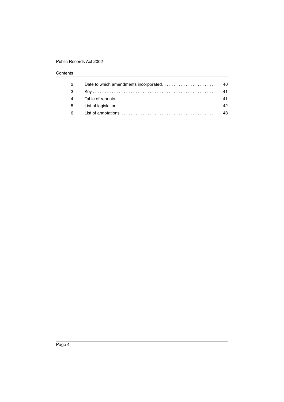| $\mathcal{P}$  | 40 |
|----------------|----|
| -3             | 41 |
| $\overline{4}$ | 41 |
| 5 <sup>5</sup> | 42 |
| 6              | 43 |
|                |    |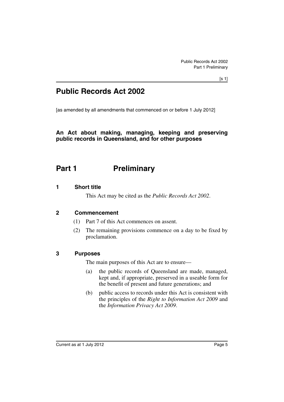# **Public Records Act 2002**

[as amended by all amendments that commenced on or before 1 July 2012]

# **An Act about making, managing, keeping and preserving public records in Queensland, and for other purposes**

# <span id="page-6-0"></span>**Part 1** Preliminary

# <span id="page-6-1"></span>**1 Short title**

This Act may be cited as the *Public Records Act 2002*.

# <span id="page-6-2"></span>**2 Commencement**

- (1) Part 7 of this Act commences on assent.
- (2) The remaining provisions commence on a day to be fixed by proclamation.

# <span id="page-6-3"></span>**3 Purposes**

The main purposes of this Act are to ensure—

- (a) the public records of Queensland are made, managed, kept and, if appropriate, preserved in a useable form for the benefit of present and future generations; and
- (b) public access to records under this Act is consistent with the principles of the *Right to Information Act 2009* and the *Information Privacy Act 2009*.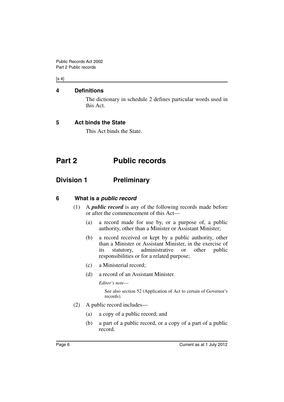### $[s 4]$

### <span id="page-7-0"></span>**4 Definitions**

The dictionary in schedule 2 defines particular words used in this Act.

# <span id="page-7-1"></span>**5 Act binds the State**

This Act binds the State.

# <span id="page-7-2"></span>**Part 2 Public records**

# <span id="page-7-3"></span>**Division 1 Preliminary**

# <span id="page-7-4"></span>**6 What is a** *public record*

- (1) A *public record* is any of the following records made before or after the commencement of this Act—
	- (a) a record made for use by, or a purpose of, a public authority, other than a Minister or Assistant Minister;
	- (b) a record received or kept by a public authority, other than a Minister or Assistant Minister, in the exercise of its statutory, administrative or other public responsibilities or for a related purpose;
	- (c) a Ministerial record;
	- (d) a record of an Assistant Minister.

*Editor's note*—

See also section 52 (Application of Act to certain of Governor's records).

- (2) A public record includes—
	- (a) a copy of a public record; and
	- (b) a part of a public record, or a copy of a part of a public record.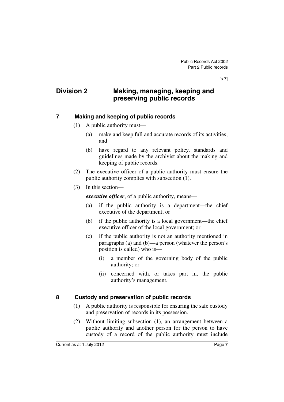# <span id="page-8-0"></span>**Division 2 Making, managing, keeping and preserving public records**

# <span id="page-8-1"></span>**7 Making and keeping of public records**

- (1) A public authority must—
	- (a) make and keep full and accurate records of its activities; and
	- (b) have regard to any relevant policy, standards and guidelines made by the archivist about the making and keeping of public records.
- (2) The executive officer of a public authority must ensure the public authority complies with subsection (1).
- (3) In this section—

*executive officer*, of a public authority, means—

- (a) if the public authority is a department—the chief executive of the department; or
- (b) if the public authority is a local government—the chief executive officer of the local government; or
- (c) if the public authority is not an authority mentioned in paragraphs (a) and (b)—a person (whatever the person's position is called) who is—
	- (i) a member of the governing body of the public authority; or
	- (ii) concerned with, or takes part in, the public authority's management.

# <span id="page-8-2"></span>**8 Custody and preservation of public records**

- (1) A public authority is responsible for ensuring the safe custody and preservation of records in its possession.
- (2) Without limiting subsection (1), an arrangement between a public authority and another person for the person to have custody of a record of the public authority must include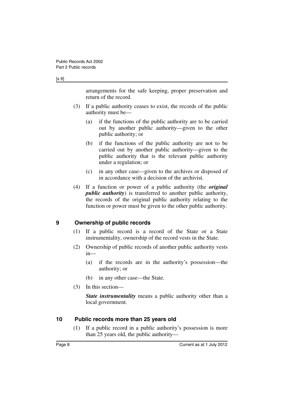#### [s 9]

arrangements for the safe keeping, proper preservation and return of the record.

- (3) If a public authority ceases to exist, the records of the public authority must be—
	- (a) if the functions of the public authority are to be carried out by another public authority—given to the other public authority; or
	- (b) if the functions of the public authority are not to be carried out by another public authority—given to the public authority that is the relevant public authority under a regulation; or
	- (c) in any other case—given to the archives or disposed of in accordance with a decision of the archivist.
- (4) If a function or power of a public authority (the *original public authority*) is transferred to another public authority, the records of the original public authority relating to the function or power must be given to the other public authority.

### <span id="page-9-0"></span>**9 Ownership of public records**

- (1) If a public record is a record of the State or a State instrumentality, ownership of the record vests in the State.
- (2) Ownership of public records of another public authority vests in—
	- (a) if the records are in the authority's possession—the authority; or
	- (b) in any other case—the State.
- (3) In this section—

*State instrumentality* means a public authority other than a local government.

### <span id="page-9-1"></span>**10 Public records more than 25 years old**

(1) If a public record in a public authority's possession is more than 25 years old, the public authority—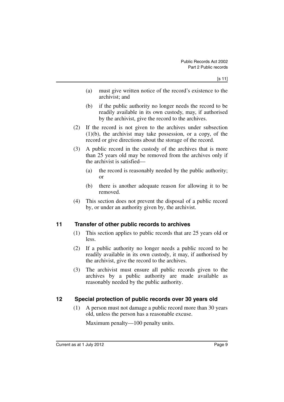- (a) must give written notice of the record's existence to the archivist; and
- (b) if the public authority no longer needs the record to be readily available in its own custody, may, if authorised by the archivist, give the record to the archives.
- (2) If the record is not given to the archives under subsection (1)(b), the archivist may take possession, or a copy, of the record or give directions about the storage of the record.
- (3) A public record in the custody of the archives that is more than 25 years old may be removed from the archives only if the archivist is satisfied—
	- (a) the record is reasonably needed by the public authority; or
	- (b) there is another adequate reason for allowing it to be removed.
- (4) This section does not prevent the disposal of a public record by, or under an authority given by, the archivist.

# <span id="page-10-0"></span>**11 Transfer of other public records to archives**

- (1) This section applies to public records that are 25 years old or less.
- (2) If a public authority no longer needs a public record to be readily available in its own custody, it may, if authorised by the archivist, give the record to the archives.
- (3) The archivist must ensure all public records given to the archives by a public authority are made available as reasonably needed by the public authority.

# <span id="page-10-1"></span>**12 Special protection of public records over 30 years old**

(1) A person must not damage a public record more than 30 years old, unless the person has a reasonable excuse.

Maximum penalty—100 penalty units.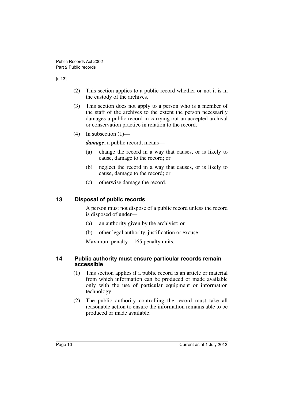#### [s 13]

- (2) This section applies to a public record whether or not it is in the custody of the archives.
- (3) This section does not apply to a person who is a member of the staff of the archives to the extent the person necessarily damages a public record in carrying out an accepted archival or conservation practice in relation to the record.
- (4) In subsection  $(1)$ —

*damage*, a public record, means—

- (a) change the record in a way that causes, or is likely to cause, damage to the record; or
- (b) neglect the record in a way that causes, or is likely to cause, damage to the record; or
- (c) otherwise damage the record.

## <span id="page-11-0"></span>**13 Disposal of public records**

A person must not dispose of a public record unless the record is disposed of under—

- (a) an authority given by the archivist; or
- (b) other legal authority, justification or excuse.

Maximum penalty—165 penalty units.

### <span id="page-11-1"></span>**14 Public authority must ensure particular records remain accessible**

- (1) This section applies if a public record is an article or material from which information can be produced or made available only with the use of particular equipment or information technology.
- (2) The public authority controlling the record must take all reasonable action to ensure the information remains able to be produced or made available.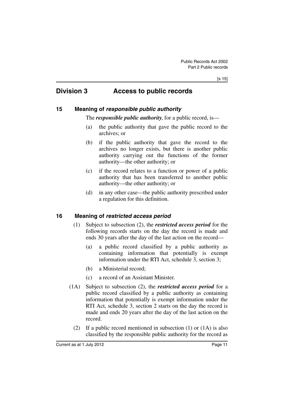# <span id="page-12-0"></span>**Division 3 Access to public records**

### <span id="page-12-1"></span>**15 Meaning of** *responsible public authority*

The *responsible public authority*, for a public record, is—

- (a) the public authority that gave the public record to the archives; or
- (b) if the public authority that gave the record to the archives no longer exists, but there is another public authority carrying out the functions of the former authority—the other authority; or
- (c) if the record relates to a function or power of a public authority that has been transferred to another public authority—the other authority; or
- (d) in any other case—the public authority prescribed under a regulation for this definition.

# <span id="page-12-2"></span>**16 Meaning of** *restricted access period*

- (1) Subject to subsection (2), the *restricted access period* for the following records starts on the day the record is made and ends 30 years after the day of the last action on the record—
	- (a) a public record classified by a public authority as containing information that potentially is exempt information under the RTI Act, schedule 3, section 3;
	- (b) a Ministerial record;
	- (c) a record of an Assistant Minister.
- (1A) Subject to subsection (2), the *restricted access period* for a public record classified by a public authority as containing information that potentially is exempt information under the RTI Act, schedule 3, section 2 starts on the day the record is made and ends 20 years after the day of the last action on the record.
	- (2) If a public record mentioned in subsection (1) or (1A) is also classified by the responsible public authority for the record as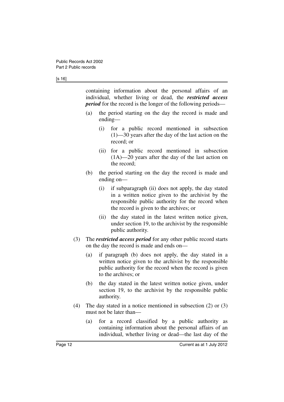#### [s 16]

containing information about the personal affairs of an individual, whether living or dead, the *restricted access period* for the record is the longer of the following periods—

- (a) the period starting on the day the record is made and ending—
	- (i) for a public record mentioned in subsection (1)—30 years after the day of the last action on the record; or
	- (ii) for a public record mentioned in subsection (1A)—20 years after the day of the last action on the record;
- (b) the period starting on the day the record is made and ending on—
	- (i) if subparagraph (ii) does not apply, the day stated in a written notice given to the archivist by the responsible public authority for the record when the record is given to the archives; or
	- (ii) the day stated in the latest written notice given, under section 19, to the archivist by the responsible public authority.
- (3) The *restricted access period* for any other public record starts on the day the record is made and ends on—
	- (a) if paragraph (b) does not apply, the day stated in a written notice given to the archivist by the responsible public authority for the record when the record is given to the archives; or
	- (b) the day stated in the latest written notice given, under section 19, to the archivist by the responsible public authority.
- (4) The day stated in a notice mentioned in subsection (2) or (3) must not be later than—
	- (a) for a record classified by a public authority as containing information about the personal affairs of an individual, whether living or dead—the last day of the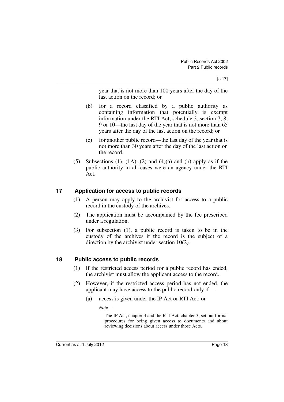year that is not more than 100 years after the day of the last action on the record; or

- (b) for a record classified by a public authority as containing information that potentially is exempt information under the RTI Act, schedule 3, section 7, 8, 9 or 10—the last day of the year that is not more than 65 years after the day of the last action on the record; or
- (c) for another public record—the last day of the year that is not more than 30 years after the day of the last action on the record.
- (5) Subsections (1),  $(1A)$ ,  $(2)$  and  $(4)(a)$  and  $(b)$  apply as if the public authority in all cases were an agency under the RTI Act.

# <span id="page-14-0"></span>**17 Application for access to public records**

- (1) A person may apply to the archivist for access to a public record in the custody of the archives.
- (2) The application must be accompanied by the fee prescribed under a regulation.
- (3) For subsection (1), a public record is taken to be in the custody of the archives if the record is the subject of a direction by the archivist under section 10(2).

# <span id="page-14-1"></span>**18 Public access to public records**

- (1) If the restricted access period for a public record has ended, the archivist must allow the applicant access to the record.
- (2) However, if the restricted access period has not ended, the applicant may have access to the public record only if—
	- (a) access is given under the IP Act or RTI Act; or

*Note*—

The IP Act, chapter 3 and the RTI Act, chapter 3, set out formal procedures for being given access to documents and about reviewing decisions about access under those Acts.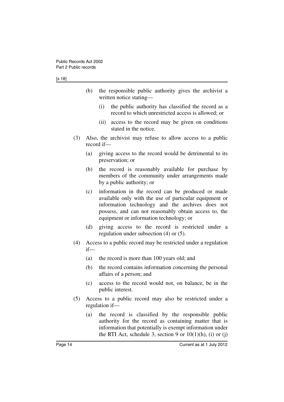#### [s 18]

- (b) the responsible public authority gives the archivist a written notice stating—
	- (i) the public authority has classified the record as a record to which unrestricted access is allowed; or
	- (ii) access to the record may be given on conditions stated in the notice.
- (3) Also, the archivist may refuse to allow access to a public record if—
	- (a) giving access to the record would be detrimental to its preservation; or
	- (b) the record is reasonably available for purchase by members of the community under arrangements made by a public authority; or
	- (c) information in the record can be produced or made available only with the use of particular equipment or information technology and the archives does not possess, and can not reasonably obtain access to, the equipment or information technology; or
	- (d) giving access to the record is restricted under a regulation under subsection (4) or (5).
- (4) Access to a public record may be restricted under a regulation if—
	- (a) the record is more than 100 years old; and
	- (b) the record contains information concerning the personal affairs of a person; and
	- (c) access to the record would not, on balance, be in the public interest.
- (5) Access to a public record may also be restricted under a regulation if—
	- (a) the record is classified by the responsible public authority for the record as containing matter that is information that potentially is exempt information under the RTI Act, schedule 3, section 9 or  $10(1)(h)$ , (i) or (j)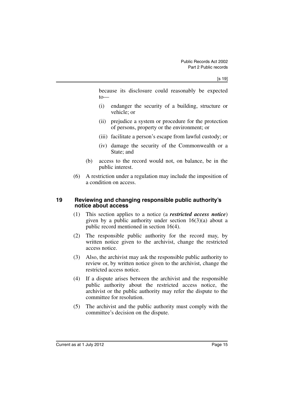because its disclosure could reasonably be expected to—

- (i) endanger the security of a building, structure or vehicle; or
- (ii) prejudice a system or procedure for the protection of persons, property or the environment; or
- (iii) facilitate a person's escape from lawful custody; or
- (iv) damage the security of the Commonwealth or a State; and
- (b) access to the record would not, on balance, be in the public interest.
- (6) A restriction under a regulation may include the imposition of a condition on access.

### <span id="page-16-0"></span>**19 Reviewing and changing responsible public authority's notice about access**

- (1) This section applies to a notice (a *restricted access notice*) given by a public authority under section  $16(3)(a)$  about a public record mentioned in section 16(4).
- (2) The responsible public authority for the record may, by written notice given to the archivist, change the restricted access notice.
- (3) Also, the archivist may ask the responsible public authority to review or, by written notice given to the archivist, change the restricted access notice.
- (4) If a dispute arises between the archivist and the responsible public authority about the restricted access notice, the archivist or the public authority may refer the dispute to the committee for resolution.
- (5) The archivist and the public authority must comply with the committee's decision on the dispute.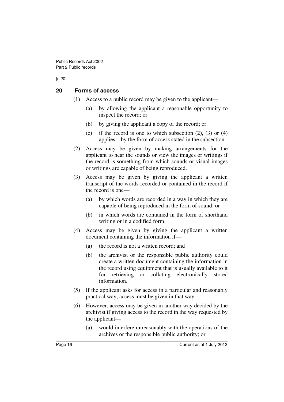#### [s 20]

### <span id="page-17-0"></span>**20 Forms of access**

- (1) Access to a public record may be given to the applicant—
	- (a) by allowing the applicant a reasonable opportunity to inspect the record; or
	- (b) by giving the applicant a copy of the record; or
	- (c) if the record is one to which subsection  $(2)$ ,  $(3)$  or  $(4)$ applies—by the form of access stated in the subsection.
- (2) Access may be given by making arrangements for the applicant to hear the sounds or view the images or writings if the record is something from which sounds or visual images or writings are capable of being reproduced.
- (3) Access may be given by giving the applicant a written transcript of the words recorded or contained in the record if the record is one—
	- (a) by which words are recorded in a way in which they are capable of being reproduced in the form of sound; or
	- (b) in which words are contained in the form of shorthand writing or in a codified form.
- (4) Access may be given by giving the applicant a written document containing the information if—
	- (a) the record is not a written record; and
	- (b) the archivist or the responsible public authority could create a written document containing the information in the record using equipment that is usually available to it for retrieving or collating electronically stored information.
- (5) If the applicant asks for access in a particular and reasonably practical way, access must be given in that way.
- (6) However, access may be given in another way decided by the archivist if giving access to the record in the way requested by the applicant—
	- (a) would interfere unreasonably with the operations of the archives or the responsible public authority; or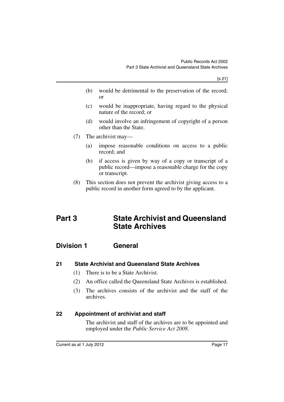- (b) would be detrimental to the preservation of the record; or
- (c) would be inappropriate, having regard to the physical nature of the record; or
- (d) would involve an infringement of copyright of a person other than the State.
- (7) The archivist may—
	- (a) impose reasonable conditions on access to a public record; and
	- (b) if access is given by way of a copy or transcript of a public record—impose a reasonable charge for the copy or transcript.
- (8) This section does not prevent the archivist giving access to a public record in another form agreed to by the applicant.

# <span id="page-18-0"></span>**Part 3 State Archivist and Queensland State Archives**

# <span id="page-18-1"></span>**Division 1 General**

# <span id="page-18-2"></span>**21 State Archivist and Queensland State Archives**

- (1) There is to be a State Archivist.
- (2) An office called the Queensland State Archives is established.
- (3) The archives consists of the archivist and the staff of the archives.

# <span id="page-18-3"></span>**22 Appointment of archivist and staff**

The archivist and staff of the archives are to be appointed and employed under the *Public Service Act 2008*.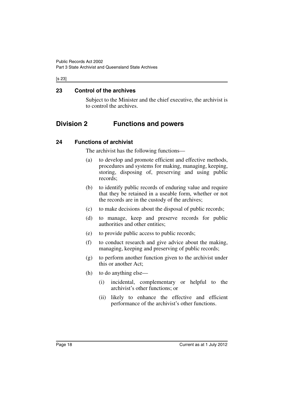### [s 23]

## <span id="page-19-0"></span>**23 Control of the archives**

Subject to the Minister and the chief executive, the archivist is to control the archives.

# <span id="page-19-1"></span>**Division 2 Functions and powers**

# <span id="page-19-2"></span>**24 Functions of archivist**

The archivist has the following functions—

- (a) to develop and promote efficient and effective methods, procedures and systems for making, managing, keeping, storing, disposing of, preserving and using public records;
- (b) to identify public records of enduring value and require that they be retained in a useable form, whether or not the records are in the custody of the archives;
- (c) to make decisions about the disposal of public records;
- (d) to manage, keep and preserve records for public authorities and other entities;
- (e) to provide public access to public records;
- (f) to conduct research and give advice about the making, managing, keeping and preserving of public records;
- (g) to perform another function given to the archivist under this or another Act;
- (h) to do anything else—
	- (i) incidental, complementary or helpful to the archivist's other functions; or
	- (ii) likely to enhance the effective and efficient performance of the archivist's other functions.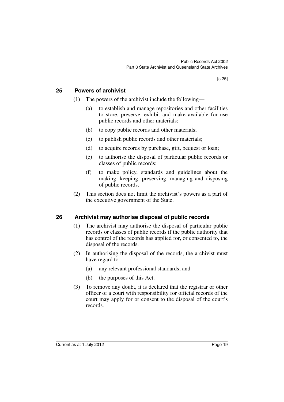### <span id="page-20-0"></span>**25 Powers of archivist**

- (1) The powers of the archivist include the following—
	- (a) to establish and manage repositories and other facilities to store, preserve, exhibit and make available for use public records and other materials;
	- (b) to copy public records and other materials;
	- (c) to publish public records and other materials;
	- (d) to acquire records by purchase, gift, bequest or loan;
	- (e) to authorise the disposal of particular public records or classes of public records;
	- (f) to make policy, standards and guidelines about the making, keeping, preserving, managing and disposing of public records.
- (2) This section does not limit the archivist's powers as a part of the executive government of the State.

# <span id="page-20-1"></span>**26 Archivist may authorise disposal of public records**

- (1) The archivist may authorise the disposal of particular public records or classes of public records if the public authority that has control of the records has applied for, or consented to, the disposal of the records.
- (2) In authorising the disposal of the records, the archivist must have regard to—
	- (a) any relevant professional standards; and
	- (b) the purposes of this Act.
- (3) To remove any doubt, it is declared that the registrar or other officer of a court with responsibility for official records of the court may apply for or consent to the disposal of the court's records.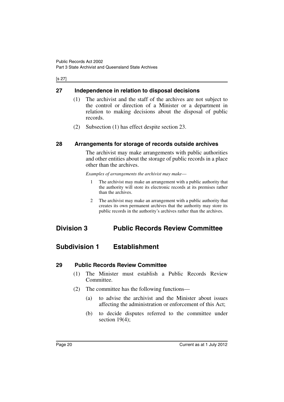### [s 27]

## <span id="page-21-0"></span>**27 Independence in relation to disposal decisions**

- (1) The archivist and the staff of the archives are not subject to the control or direction of a Minister or a department in relation to making decisions about the disposal of public records.
- (2) Subsection (1) has effect despite section 23.

### <span id="page-21-1"></span>**28 Arrangements for storage of records outside archives**

The archivist may make arrangements with public authorities and other entities about the storage of public records in a place other than the archives.

*Examples of arrangements the archivist may make*—

- 1 The archivist may make an arrangement with a public authority that the authority will store its electronic records at its premises rather than the archives.
- 2 The archivist may make an arrangement with a public authority that creates its own permanent archives that the authority may store its public records in the authority's archives rather than the archives.

# <span id="page-21-2"></span>**Division 3 Public Records Review Committee**

# <span id="page-21-3"></span>**Subdivision 1 Establishment**

### <span id="page-21-4"></span>**29 Public Records Review Committee**

- (1) The Minister must establish a Public Records Review Committee.
- (2) The committee has the following functions—
	- (a) to advise the archivist and the Minister about issues affecting the administration or enforcement of this Act;
	- (b) to decide disputes referred to the committee under section 19(4);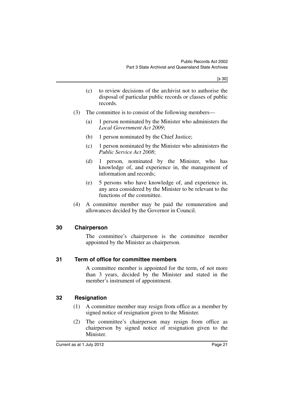- (c) to review decisions of the archivist not to authorise the disposal of particular public records or classes of public records.
- (3) The committee is to consist of the following members—
	- (a) 1 person nominated by the Minister who administers the *Local Government Act 2009*;
	- (b) 1 person nominated by the Chief Justice;
	- (c) 1 person nominated by the Minister who administers the *Public Service Act 2008*;
	- (d) 1 person, nominated by the Minister, who has knowledge of, and experience in, the management of information and records;
	- (e) 5 persons who have knowledge of, and experience in, any area considered by the Minister to be relevant to the functions of the committee.
- (4) A committee member may be paid the remuneration and allowances decided by the Governor in Council.

### <span id="page-22-0"></span>**30 Chairperson**

The committee's chairperson is the committee member appointed by the Minister as chairperson.

### <span id="page-22-1"></span>**31 Term of office for committee members**

A committee member is appointed for the term, of not more than 3 years, decided by the Minister and stated in the member's instrument of appointment.

# <span id="page-22-2"></span>**32 Resignation**

- (1) A committee member may resign from office as a member by signed notice of resignation given to the Minister.
- (2) The committee's chairperson may resign from office as chairperson by signed notice of resignation given to the **Minister**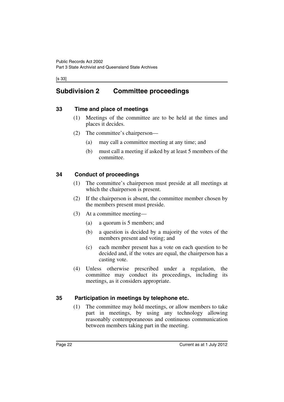[s 33]

# <span id="page-23-0"></span>**Subdivision 2 Committee proceedings**

### <span id="page-23-1"></span>**33 Time and place of meetings**

- (1) Meetings of the committee are to be held at the times and places it decides.
- (2) The committee's chairperson—
	- (a) may call a committee meeting at any time; and
	- (b) must call a meeting if asked by at least 5 members of the committee.

# <span id="page-23-2"></span>**34 Conduct of proceedings**

- (1) The committee's chairperson must preside at all meetings at which the chairperson is present.
- (2) If the chairperson is absent, the committee member chosen by the members present must preside.
- (3) At a committee meeting—
	- (a) a quorum is 5 members; and
	- (b) a question is decided by a majority of the votes of the members present and voting; and
	- (c) each member present has a vote on each question to be decided and, if the votes are equal, the chairperson has a casting vote.
- (4) Unless otherwise prescribed under a regulation, the committee may conduct its proceedings, including its meetings, as it considers appropriate.

# <span id="page-23-3"></span>**35 Participation in meetings by telephone etc.**

(1) The committee may hold meetings, or allow members to take part in meetings, by using any technology allowing reasonably contemporaneous and continuous communication between members taking part in the meeting.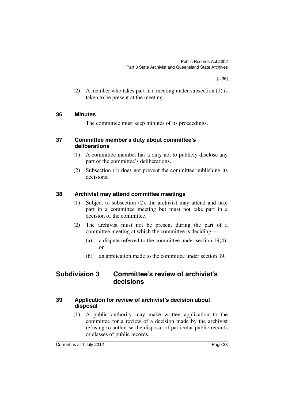(2) A member who takes part in a meeting under subsection (1) is taken to be present at the meeting.

### <span id="page-24-0"></span>**36 Minutes**

The committee must keep minutes of its proceedings.

### <span id="page-24-1"></span>**37 Committee member's duty about committee's deliberations**

- (1) A committee member has a duty not to publicly disclose any part of the committee's deliberations.
- (2) Subsection (1) does not prevent the committee publishing its decisions.

### <span id="page-24-2"></span>**38 Archivist may attend committee meetings**

- (1) Subject to subsection (2), the archivist may attend and take part in a committee meeting but must not take part in a decision of the committee.
- (2) The archivist must not be present during the part of a committee meeting at which the committee is deciding—
	- (a) a dispute referred to the committee under section 19(4); or
	- (b) an application made to the committee under section 39.

# <span id="page-24-3"></span>**Subdivision 3 Committee's review of archivist's decisions**

### <span id="page-24-4"></span>**39 Application for review of archivist's decision about disposal**

(1) A public authority may make written application to the committee for a review of a decision made by the archivist refusing to authorise the disposal of particular public records or classes of public records.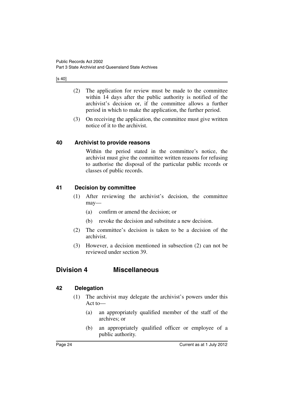### [s 40]

- (2) The application for review must be made to the committee within 14 days after the public authority is notified of the archivist's decision or, if the committee allows a further period in which to make the application, the further period.
- (3) On receiving the application, the committee must give written notice of it to the archivist.

# <span id="page-25-0"></span>**40 Archivist to provide reasons**

Within the period stated in the committee's notice, the archivist must give the committee written reasons for refusing to authorise the disposal of the particular public records or classes of public records.

# <span id="page-25-1"></span>**41 Decision by committee**

- (1) After reviewing the archivist's decision, the committee may—
	- (a) confirm or amend the decision; or
	- (b) revoke the decision and substitute a new decision.
- (2) The committee's decision is taken to be a decision of the archivist.
- (3) However, a decision mentioned in subsection (2) can not be reviewed under section 39.

# <span id="page-25-2"></span>**Division 4 Miscellaneous**

# <span id="page-25-3"></span>**42 Delegation**

- (1) The archivist may delegate the archivist's powers under this Act to—
	- (a) an appropriately qualified member of the staff of the archives; or
	- (b) an appropriately qualified officer or employee of a public authority.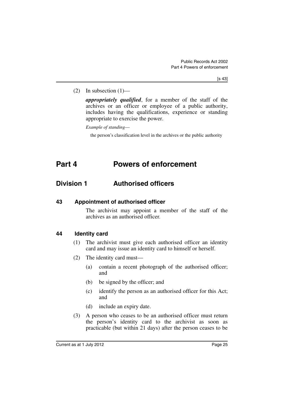(2) In subsection  $(1)$ —

*appropriately qualified*, for a member of the staff of the archives or an officer or employee of a public authority, includes having the qualifications, experience or standing appropriate to exercise the power.

*Example of standing*—

the person's classification level in the archives or the public authority

# <span id="page-26-0"></span>**Part 4 Powers of enforcement**

# <span id="page-26-1"></span>**Division 1 Authorised officers**

<span id="page-26-2"></span>**43 Appointment of authorised officer**

The archivist may appoint a member of the staff of the archives as an authorised officer.

### <span id="page-26-3"></span>**44 Identity card**

- (1) The archivist must give each authorised officer an identity card and may issue an identity card to himself or herself.
- (2) The identity card must—
	- (a) contain a recent photograph of the authorised officer; and
	- (b) be signed by the officer; and
	- (c) identify the person as an authorised officer for this Act; and
	- (d) include an expiry date.
- (3) A person who ceases to be an authorised officer must return the person's identity card to the archivist as soon as practicable (but within 21 days) after the person ceases to be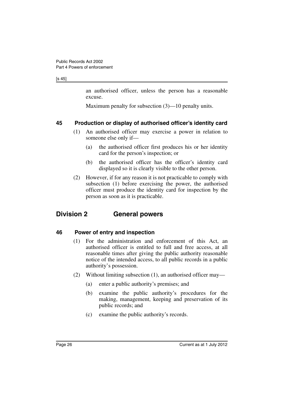### [s 45]

an authorised officer, unless the person has a reasonable excuse.

Maximum penalty for subsection (3)—10 penalty units.

# <span id="page-27-0"></span>**45 Production or display of authorised officer's identity card**

- (1) An authorised officer may exercise a power in relation to someone else only if—
	- (a) the authorised officer first produces his or her identity card for the person's inspection; or
	- (b) the authorised officer has the officer's identity card displayed so it is clearly visible to the other person.
- (2) However, if for any reason it is not practicable to comply with subsection (1) before exercising the power, the authorised officer must produce the identity card for inspection by the person as soon as it is practicable.

# <span id="page-27-1"></span>**Division 2 General powers**

# <span id="page-27-2"></span>**46 Power of entry and inspection**

- (1) For the administration and enforcement of this Act, an authorised officer is entitled to full and free access, at all reasonable times after giving the public authority reasonable notice of the intended access, to all public records in a public authority's possession.
- (2) Without limiting subsection (1), an authorised officer may—
	- (a) enter a public authority's premises; and
	- (b) examine the public authority's procedures for the making, management, keeping and preservation of its public records; and
	- (c) examine the public authority's records.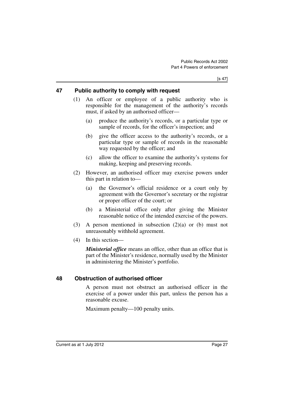### <span id="page-28-0"></span>**47 Public authority to comply with request**

- (1) An officer or employee of a public authority who is responsible for the management of the authority's records must, if asked by an authorised officer—
	- (a) produce the authority's records, or a particular type or sample of records, for the officer's inspection; and
	- (b) give the officer access to the authority's records, or a particular type or sample of records in the reasonable way requested by the officer; and
	- (c) allow the officer to examine the authority's systems for making, keeping and preserving records.
- (2) However, an authorised officer may exercise powers under this part in relation to—
	- (a) the Governor's official residence or a court only by agreement with the Governor's secretary or the registrar or proper officer of the court; or
	- (b) a Ministerial office only after giving the Minister reasonable notice of the intended exercise of the powers.
- (3) A person mentioned in subsection (2)(a) or (b) must not unreasonably withhold agreement.
- (4) In this section—

*Ministerial office* means an office, other than an office that is part of the Minister's residence, normally used by the Minister in administering the Minister's portfolio.

# <span id="page-28-1"></span>**48 Obstruction of authorised officer**

A person must not obstruct an authorised officer in the exercise of a power under this part, unless the person has a reasonable excuse.

Maximum penalty—100 penalty units.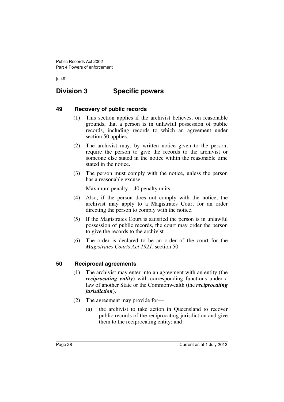[s 49]

# <span id="page-29-0"></span>**Division 3 Specific powers**

### <span id="page-29-1"></span>**49 Recovery of public records**

- (1) This section applies if the archivist believes, on reasonable grounds, that a person is in unlawful possession of public records, including records to which an agreement under section 50 applies.
- (2) The archivist may, by written notice given to the person, require the person to give the records to the archivist or someone else stated in the notice within the reasonable time stated in the notice.
- (3) The person must comply with the notice, unless the person has a reasonable excuse.

Maximum penalty—40 penalty units.

- (4) Also, if the person does not comply with the notice, the archivist may apply to a Magistrates Court for an order directing the person to comply with the notice.
- (5) If the Magistrates Court is satisfied the person is in unlawful possession of public records, the court may order the person to give the records to the archivist.
- (6) The order is declared to be an order of the court for the *Magistrates Courts Act 1921*, section 50.

### <span id="page-29-2"></span>**50 Reciprocal agreements**

- (1) The archivist may enter into an agreement with an entity (the *reciprocating entity*) with corresponding functions under a law of another State or the Commonwealth (the *reciprocating jurisdiction*).
- (2) The agreement may provide for—
	- (a) the archivist to take action in Queensland to recover public records of the reciprocating jurisdiction and give them to the reciprocating entity; and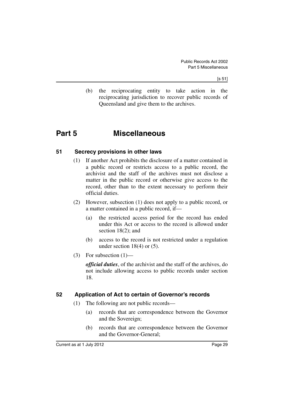(b) the reciprocating entity to take action in the reciprocating jurisdiction to recover public records of Queensland and give them to the archives.

# <span id="page-30-0"></span>**Part 5 Miscellaneous**

### <span id="page-30-1"></span>**51 Secrecy provisions in other laws**

- (1) If another Act prohibits the disclosure of a matter contained in a public record or restricts access to a public record, the archivist and the staff of the archives must not disclose a matter in the public record or otherwise give access to the record, other than to the extent necessary to perform their official duties.
- (2) However, subsection (1) does not apply to a public record, or a matter contained in a public record, if—
	- (a) the restricted access period for the record has ended under this Act or access to the record is allowed under section 18(2); and
	- (b) access to the record is not restricted under a regulation under section  $18(4)$  or  $(5)$ .
- (3) For subsection  $(1)$ —

*official duties*, of the archivist and the staff of the archives, do not include allowing access to public records under section 18.

# <span id="page-30-2"></span>**52 Application of Act to certain of Governor's records**

- (1) The following are not public records—
	- (a) records that are correspondence between the Governor and the Sovereign;
	- (b) records that are correspondence between the Governor and the Governor-General;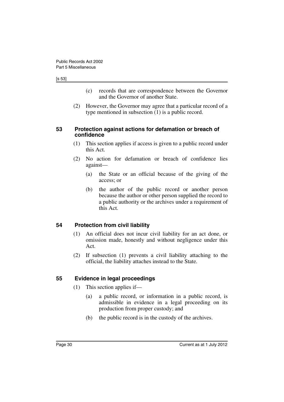### [s 53]

- (c) records that are correspondence between the Governor and the Governor of another State.
- (2) However, the Governor may agree that a particular record of a type mentioned in subsection (1) is a public record.

### <span id="page-31-0"></span>**53 Protection against actions for defamation or breach of confidence**

- (1) This section applies if access is given to a public record under this Act.
- (2) No action for defamation or breach of confidence lies against—
	- (a) the State or an official because of the giving of the access; or
	- (b) the author of the public record or another person because the author or other person supplied the record to a public authority or the archives under a requirement of this Act.

# <span id="page-31-1"></span>**54 Protection from civil liability**

- (1) An official does not incur civil liability for an act done, or omission made, honestly and without negligence under this Act.
- (2) If subsection (1) prevents a civil liability attaching to the official, the liability attaches instead to the State.

# <span id="page-31-2"></span>**55 Evidence in legal proceedings**

- (1) This section applies if—
	- (a) a public record, or information in a public record, is admissible in evidence in a legal proceeding on its production from proper custody; and
	- (b) the public record is in the custody of the archives.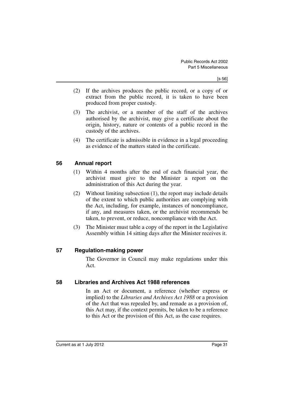- (2) If the archives produces the public record, or a copy of or extract from the public record, it is taken to have been produced from proper custody.
- (3) The archivist, or a member of the staff of the archives authorised by the archivist, may give a certificate about the origin, history, nature or contents of a public record in the custody of the archives.
- (4) The certificate is admissible in evidence in a legal proceeding as evidence of the matters stated in the certificate.

# <span id="page-32-0"></span>**56 Annual report**

- (1) Within 4 months after the end of each financial year, the archivist must give to the Minister a report on the administration of this Act during the year.
- (2) Without limiting subsection (1), the report may include details of the extent to which public authorities are complying with the Act, including, for example, instances of noncompliance, if any, and measures taken, or the archivist recommends be taken, to prevent, or reduce, noncompliance with the Act.
- (3) The Minister must table a copy of the report in the Legislative Assembly within 14 sitting days after the Minister receives it.

### <span id="page-32-1"></span>**57 Regulation-making power**

The Governor in Council may make regulations under this Act.

### <span id="page-32-2"></span>**58 Libraries and Archives Act 1988 references**

In an Act or document, a reference (whether express or implied) to the *Libraries and Archives Act 1988* or a provision of the Act that was repealed by, and remade as a provision of, this Act may, if the context permits, be taken to be a reference to this Act or the provision of this Act, as the case requires.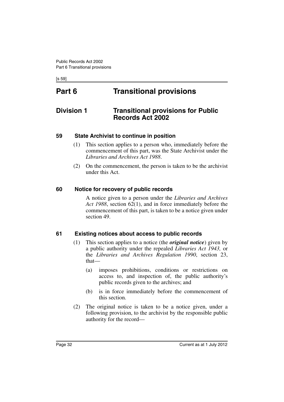[s 59]

# <span id="page-33-0"></span>**Part 6 Transitional provisions**

# <span id="page-33-1"></span>**Division 1 Transitional provisions for Public Records Act 2002**

# <span id="page-33-2"></span>**59 State Archivist to continue in position**

- (1) This section applies to a person who, immediately before the commencement of this part, was the State Archivist under the *Libraries and Archives Act 1988*.
- (2) On the commencement, the person is taken to be the archivist under this Act.

# <span id="page-33-3"></span>**60 Notice for recovery of public records**

A notice given to a person under the *Libraries and Archives Act 1988*, section 62(1), and in force immediately before the commencement of this part, is taken to be a notice given under section 49.

# <span id="page-33-4"></span>**61 Existing notices about access to public records**

- (1) This section applies to a notice (the *original notice*) given by a public authority under the repealed *Libraries Act 1943,* or the *Libraries and Archives Regulation 1990*, section 23, that—
	- (a) imposes prohibitions, conditions or restrictions on access to, and inspection of, the public authority's public records given to the archives; and
	- (b) is in force immediately before the commencement of this section.
- (2) The original notice is taken to be a notice given, under a following provision, to the archivist by the responsible public authority for the record—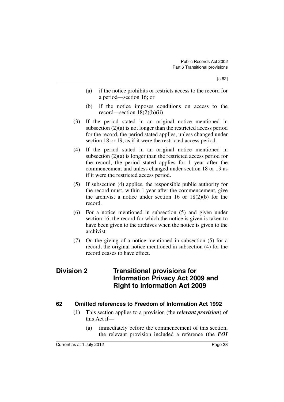- (a) if the notice prohibits or restricts access to the record for a period—section 16; or
- (b) if the notice imposes conditions on access to the record—section  $18(2)(b)(ii)$ .
- (3) If the period stated in an original notice mentioned in subsection (2)(a) is not longer than the restricted access period for the record, the period stated applies, unless changed under section 18 or 19, as if it were the restricted access period.
- (4) If the period stated in an original notice mentioned in subsection (2)(a) is longer than the restricted access period for the record, the period stated applies for 1 year after the commencement and unless changed under section 18 or 19 as if it were the restricted access period.
- (5) If subsection (4) applies, the responsible public authority for the record must, within 1 year after the commencement, give the archivist a notice under section 16 or 18(2)(b) for the record.
- (6) For a notice mentioned in subsection (5) and given under section 16, the record for which the notice is given is taken to have been given to the archives when the notice is given to the archivist.
- (7) On the giving of a notice mentioned in subsection (5) for a record, the original notice mentioned in subsection (4) for the record ceases to have effect.

# <span id="page-34-0"></span>**Division 2 Transitional provisions for Information Privacy Act 2009 and Right to Information Act 2009**

# <span id="page-34-1"></span>**62 Omitted references to Freedom of Information Act 1992**

- (1) This section applies to a provision (the *relevant provision*) of this Act if—
	- (a) immediately before the commencement of this section, the relevant provision included a reference (the *FOI*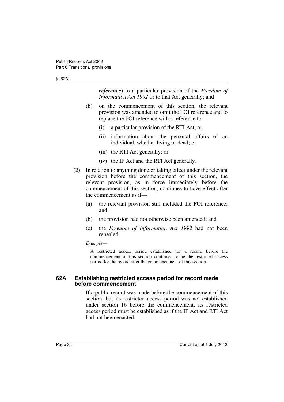#### [s 62A]

*reference*) to a particular provision of the *Freedom of Information Act 1992* or to that Act generally; and

- (b) on the commencement of this section, the relevant provision was amended to omit the FOI reference and to replace the FOI reference with a reference to—
	- (i) a particular provision of the RTI Act; or
	- (ii) information about the personal affairs of an individual, whether living or dead; or
	- (iii) the RTI Act generally; or
	- (iv) the IP Act and the RTI Act generally.
- (2) In relation to anything done or taking effect under the relevant provision before the commencement of this section, the relevant provision, as in force immediately before the commencement of this section, continues to have effect after the commencement as if—
	- (a) the relevant provision still included the FOI reference; and
	- (b) the provision had not otherwise been amended; and
	- (c) the *Freedom of Information Act 1992* had not been repealed.

*Example*—

A restricted access period established for a record before the commencement of this section continues to be the restricted access period for the record after the commencement of this section.

### <span id="page-35-0"></span>**62A Establishing restricted access period for record made before commencement**

If a public record was made before the commencement of this section, but its restricted access period was not established under section 16 before the commencement, its restricted access period must be established as if the IP Act and RTI Act had not been enacted.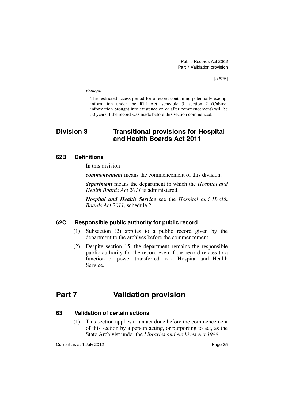*Example*—

The restricted access period for a record containing potentially exempt information under the RTI Act, schedule 3, section 2 (Cabinet information brought into existence on or after commencement) will be 30 years if the record was made before this section commenced.

# <span id="page-36-0"></span>**Division 3 Transitional provisions for Hospital and Health Boards Act 2011**

# <span id="page-36-1"></span>**62B Definitions**

In this division—

*commencement* means the commencement of this division.

*department* means the department in which the *Hospital and Health Boards Act 2011* is administered.

*Hospital and Health Service* see the *Hospital and Health Boards Act 2011*, schedule 2.

# <span id="page-36-2"></span>**62C Responsible public authority for public record**

- (1) Subsection (2) applies to a public record given by the department to the archives before the commencement.
- (2) Despite section 15, the department remains the responsible public authority for the record even if the record relates to a function or power transferred to a Hospital and Health Service.

# <span id="page-36-3"></span>**Part 7 Validation provision**

### <span id="page-36-4"></span>**63 Validation of certain actions**

(1) This section applies to an act done before the commencement of this section by a person acting, or purporting to act, as the State Archivist under the *Libraries and Archives Act 1988*.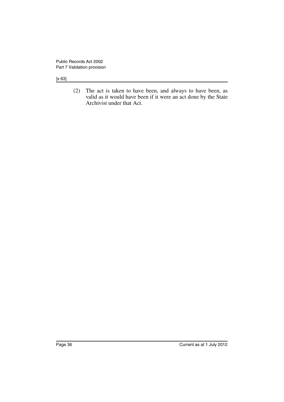[s 63]

(2) The act is taken to have been, and always to have been, as valid as it would have been if it were an act done by the State Archivist under that Act.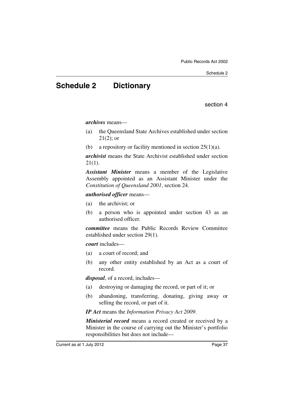# <span id="page-38-0"></span>**Schedule 2 Dictionary**

section 4

*archives* means—

- (a) the Queensland State Archives established under section  $21(2)$ ; or
- (b) a repository or facility mentioned in section  $25(1)(a)$ .

*archivist* means the State Archivist established under section 21(1).

*Assistant Minister* means a member of the Legislative Assembly appointed as an Assistant Minister under the *Constitution of Queensland 2001*, section 24.

*authorised officer* means—

- (a) the archivist; or
- (b) a person who is appointed under section 43 as an authorised officer.

*committee* means the Public Records Review Committee established under section 29(1).

*court* includes—

- (a) a court of record; and
- (b) any other entity established by an Act as a court of record.

*disposal*, of a record, includes—

- (a) destroying or damaging the record, or part of it; or
- (b) abandoning, transferring, donating, giving away or selling the record, or part of it.

*IP Act* means the *Information Privacy Act 2009*.

*Ministerial record* means a record created or received by a Minister in the course of carrying out the Minister's portfolio responsibilities but does not include—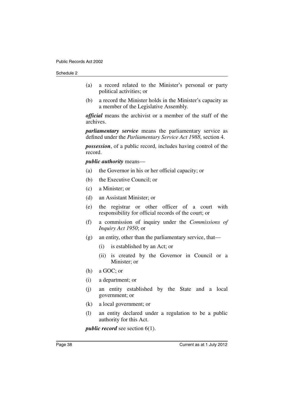- (a) a record related to the Minister's personal or party political activities; or
- (b) a record the Minister holds in the Minister's capacity as a member of the Legislative Assembly.

*official* means the archivist or a member of the staff of the archives.

*parliamentary service* means the parliamentary service as defined under the *Parliamentary Service Act 1988*, section 4.

*possession*, of a public record, includes having control of the record.

*public authority* means—

- (a) the Governor in his or her official capacity; or
- (b) the Executive Council; or
- (c) a Minister; or
- (d) an Assistant Minister; or
- (e) the registrar or other officer of a court with responsibility for official records of the court; or
- (f) a commission of inquiry under the *Commissions of Inquiry Act 1950*; or
- $(g)$  an entity, other than the parliamentary service, that—
	- (i) is established by an Act; or
	- (ii) is created by the Governor in Council or a Minister; or
- (h) a GOC; or
- (i) a department; or
- (j) an entity established by the State and a local government; or
- (k) a local government; or
- (l) an entity declared under a regulation to be a public authority for this Act.

*public record* see section 6(1).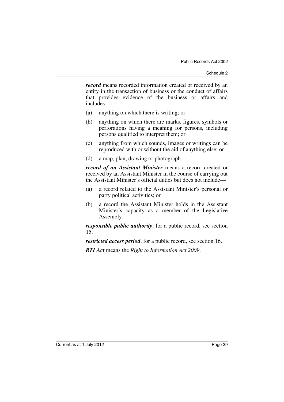*record* means recorded information created or received by an entity in the transaction of business or the conduct of affairs that provides evidence of the business or affairs and includes—

- (a) anything on which there is writing; or
- (b) anything on which there are marks, figures, symbols or perforations having a meaning for persons, including persons qualified to interpret them; or
- (c) anything from which sounds, images or writings can be reproduced with or without the aid of anything else; or
- (d) a map, plan, drawing or photograph.

*record of an Assistant Minister* means a record created or received by an Assistant Minister in the course of carrying out the Assistant Minister's official duties but does not include—

- (a) a record related to the Assistant Minister's personal or party political activities; or
- (b) a record the Assistant Minister holds in the Assistant Minister's capacity as a member of the Legislative Assembly.

*responsible public authority*, for a public record, see section 15.

*restricted access period*, for a public record, see section 16.

*RTI Act* means the *Right to Information Act 2009*.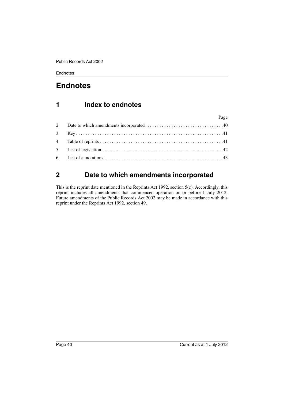# <span id="page-41-0"></span>**Endnotes**

# <span id="page-41-1"></span>**1 Index to endnotes**

| Page |
|------|
|      |
|      |
|      |
|      |
|      |

# <span id="page-41-2"></span>**2 Date to which amendments incorporated**

This is the reprint date mentioned in the Reprints Act 1992, section 5(c). Accordingly, this reprint includes all amendments that commenced operation on or before 1 July 2012. Future amendments of the Public Records Act 2002 may be made in accordance with this reprint under the Reprints Act 1992, section 49.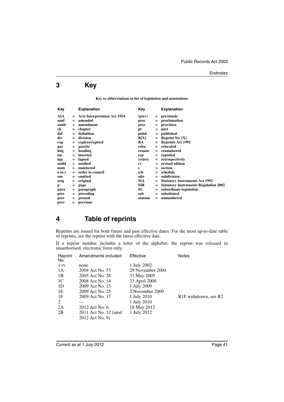# <span id="page-42-0"></span>**3 Key**

**Key to abbreviations in list of legislation and annotations**

| Key    |     | <b>Explanation</b>                  | Key        |     | <b>Explanation</b>                           |
|--------|-----|-------------------------------------|------------|-----|----------------------------------------------|
| AIA    |     | <b>Acts Interpretation Act 1954</b> | (prev)     | $=$ | previously                                   |
| amd    | $=$ | amended                             | proc       | $=$ | proclamation                                 |
| amdt   | $=$ | amendment                           | prov       | $=$ | provision                                    |
| ch     | $=$ | chapter                             | pt         | $=$ | part                                         |
| def    | $=$ | definition                          | pubd       | $=$ | published                                    |
| div    | $=$ | division                            | R[X]       | $=$ | Reprint No. $[X]$                            |
| exp    | $=$ | expires/expired                     | <b>RA</b>  |     | <b>Reprints Act 1992</b>                     |
| gaz    | $=$ | gazette                             | reloc      | $=$ | relocated                                    |
| hdg    | $=$ | heading                             | renum      | $=$ | renumbered                                   |
| ins    | $=$ | inserted                            | rep        | $=$ | repealed                                     |
| lap    | $=$ | lapsed                              | (retro)    | $=$ | retrospectively                              |
| notfd  | $=$ | notified                            | rv         |     | revised edition                              |
| num    | $=$ | numbered                            | s          | $=$ | section                                      |
| o in c | $=$ | order in council                    | sch        | $=$ | schedule                                     |
| om     | $=$ | omitted                             | sdiv       | $=$ | subdivision                                  |
| orig   | $=$ | original                            | <b>SIA</b> |     | <b>Statutory Instruments Act 1992</b>        |
| p      | =   | page                                | <b>SIR</b> | $=$ | <b>Statutory Instruments Regulation 2002</b> |
| para   | $=$ | paragraph                           | SL         | $=$ | subordinate legislation                      |
| prec   | $=$ | preceding                           | sub        | $=$ | substituted                                  |
| pres   | $=$ | present                             | unnum      | $=$ | unnumbered                                   |
| prev   | $=$ | previous                            |            |     |                                              |

# <span id="page-42-1"></span>**4 Table of reprints**

Reprints are issued for both future and past effective dates. For the most up-to-date table of reprints, see the reprint with the latest effective date.

If a reprint number includes a letter of the alphabet, the reprint was released in unauthorised, electronic form only.

| Reprint<br>No.  | Amendments included   | Effective        | <b>Notes</b>                                   |
|-----------------|-----------------------|------------------|------------------------------------------------|
| 1 <sub>rv</sub> | none                  | 1 July 2002      |                                                |
| 1 A             | 2004 Act No. 53       | 29 November 2004 |                                                |
| 1B              | 2005 Act No. 28       | 31 May 2005      |                                                |
| 1C              | 2008 Act No. 14       | 23 April 2008    |                                                |
| 1D              | 2009 Act No. 13       | 1 July 2009      |                                                |
| 1E              | 2009 Act No. 25       | 2 November 2009  |                                                |
| 1F              | 2009 Act No. 17       | 1 July 2010      | R <sub>1</sub> F withdrawn, see R <sub>2</sub> |
| 2               |                       | 1 July 2010      |                                                |
| 2A              | 2012 Act No. 6        | 18 May 2012      |                                                |
| 2B              | 2011 Act No. 32 (amd) | 1 July 2012      |                                                |
|                 | 2012 Act No. 9)       |                  |                                                |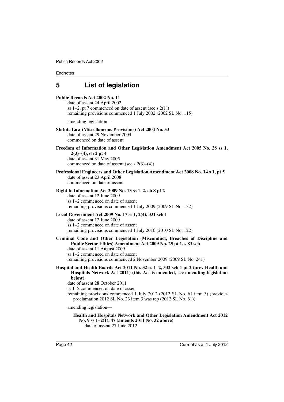# <span id="page-43-0"></span>**5 List of legislation**

#### **Public Records Act 2002 No. 11**

date of assent 24 April 2002 ss 1–2, pt 7 commenced on date of assent (see s  $2(1)$ ) remaining provisions commenced 1 July 2002 (2002 SL No. 115)

amending legislation—

#### **Statute Law (Miscellaneous Provisions) Act 2004 No. 53**

date of assent 29 November 2004 commenced on date of assent

### **Freedom of Information and Other Legislation Amendment Act 2005 No. 28 ss 1, 2(3)–(4), ch 2 pt 4**

date of assent 31 May 2005 commenced on date of assent (see s 2(3)–(4))

### **Professional Engineers and Other Legislation Amendment Act 2008 No. 14 s 1, pt 5**

date of assent 23 April 2008 commenced on date of assent

#### **Right to Information Act 2009 No. 13 ss 1–2, ch 8 pt 2**

date of assent 12 June 2009 ss 1–2 commenced on date of assent remaining provisions commenced 1 July 2009 (2009 SL No. 132)

#### **Local Government Act 2009 No. 17 ss 1, 2(4), 331 sch 1**

date of assent 12 June 2009 ss 1–2 commenced on date of assent remaining provisions commenced 1 July 2010 (2010 SL No. 122)

#### **Criminal Code and Other Legislation (Misconduct, Breaches of Discipline and Public Sector Ethics) Amendment Act 2009 No. 25 pt 1, s 83 sch**

date of assent 11 August 2009 ss 1–2 commenced on date of assent remaining provisions commenced 2 November 2009 (2009 SL No. 241)

#### **Hospital and Health Boards Act 2011 No. 32 ss 1–2, 332 sch 1 pt 2 (prev Health and Hospitals Network Act 2011) (this Act is amended, see amending legislation below)**

date of assent 28 October 2011

ss 1–2 commenced on date of assent

remaining provisions commenced 1 July 2012 (2012 SL No. 61 item 3) (previous proclamation 2012 SL No. 23 item 3 was rep (2012 SL No. 61))

amending legislation—

**Health and Hospitals Network and Other Legislation Amendment Act 2012 No. 9 ss 1–2(1), 47 (amends 2011 No. 32 above)** date of assent 27 June 2012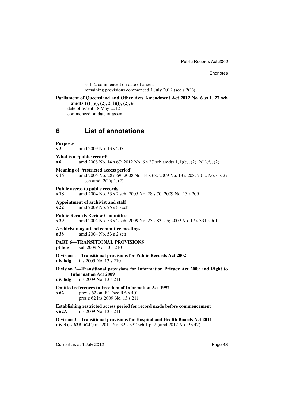ss 1–2 commenced on date of assent remaining provisions commenced 1 July 2012 (see s 2(1))

#### **Parliament of Queensland and Other Acts Amendment Act 2012 No. 6 ss 1, 27 sch amdts 1(1)(e), (2), 2(1)(f), (2), 6**

date of assent 18 May 2012 commenced on date of assent

# <span id="page-44-0"></span>**6 List of annotations**

## **Purposes s 3** amd 2009 No. 13 s 207 **What is a "public record" s 6** amd 2008 No. 14 s 67; 2012 No. 6 s 27 sch amdts 1(1)(e), (2), 2(1)(f), (2) **Meaning of "restricted access period" s 16** amd 2005 No. 28 s 69; 2008 No. 14 s 68; 2009 No. 13 s 208; 2012 No. 6 s 27 sch amdt  $2(1)(f)$ ,  $(2)$ **Public access to public records s 18** amd 2004 No. 53 s 2 sch; 2005 No. 28 s 70; 2009 No. 13 s 209 **Appointment of archivist and staff s 22** amd 2009 No. 25 s 83 sch **Public Records Review Committee s 29** amd 2004 No. 53 s 2 sch; 2009 No. 25 s 83 sch; 2009 No. 17 s 331 sch 1 **Archivist may attend committee meetings s 38** amd 2004 No. 53 s 2 sch **PART 6—TRANSITIONAL PROVISIONS pt hdg** sub 2009 No. 13 s 210 **Division 1—Transitional provisions for Public Records Act 2002 div hdg** ins 2009 No. 13 s 210 **Division 2—Transitional provisions for Information Privacy Act 2009 and Right to Information Act 2009 div hdg** ins 2009 No. 13 s 211 **Omitted references to Freedom of Information Act 1992 s 62** prev s 62 om R1 (see RA s 40) pres s 62 ins 2009 No. 13 s 211 **Establishing restricted access period for record made before commencement s 62A** ins 2009 No. 13 s 211

**Division 3—Transitional provisions for Hospital and Health Boards Act 2011 div 3 (ss 62B–62C)** ins 2011 No. 32 s 332 sch 1 pt 2 (amd 2012 No. 9 s 47)